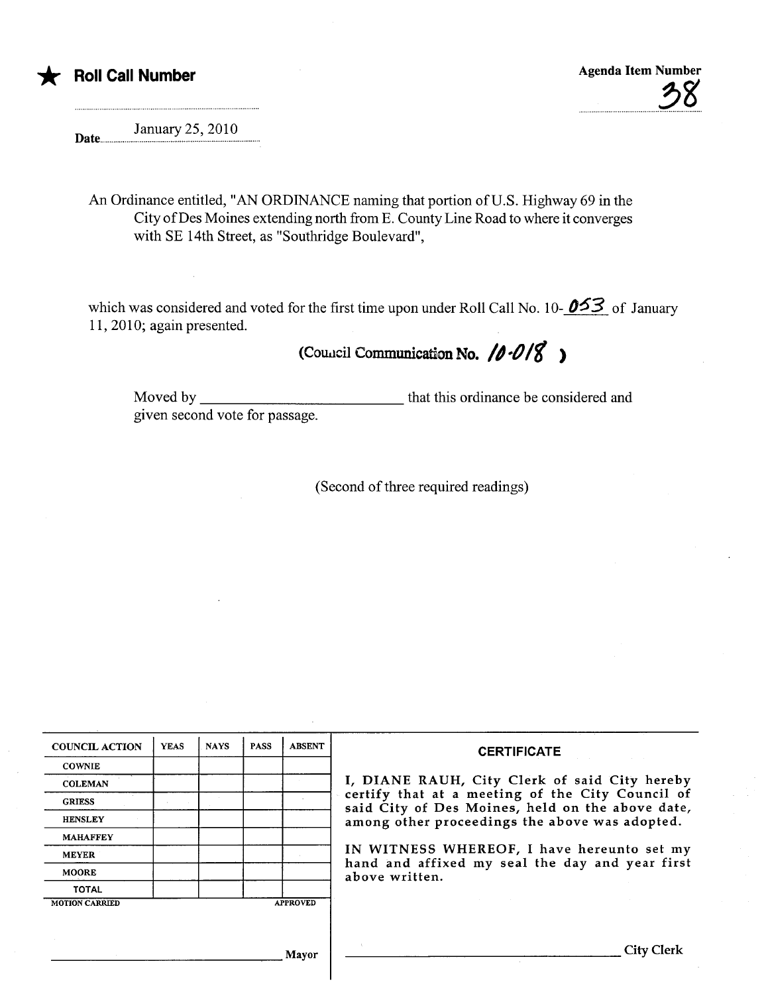

January 25,2010 Date....

An Ordinance entitled, "AN ORDINANCE naming that portion of U.S. Highway 69 in the City of Des Moines extending north from E. County Line Road to where it converges with SE 14th Street, as "Southrdge Boulevard",

which was considered and voted for the first time upon under Roll Call No. 10- $\cancel{0.63}$  of January 11,2010; again presented.

## (Council Communication No.  $/0.018$ )

Moved by **November 2018** given second vote for passage. that this ordinance be considered and

(Second of three required readings)

| <b>COUNCIL ACTION</b> | <b>YEAS</b> | <b>NAYS</b> | <b>PASS</b> | <b>ABSENT</b>   | <b>CERTIFICATE</b>                                                                                   |  |  |  |  |  |
|-----------------------|-------------|-------------|-------------|-----------------|------------------------------------------------------------------------------------------------------|--|--|--|--|--|
| <b>COWNIE</b>         |             |             |             |                 |                                                                                                      |  |  |  |  |  |
| <b>COLEMAN</b>        |             |             |             |                 | I, DIANE RAUH, City Clerk of said City hereby                                                        |  |  |  |  |  |
| <b>GRIESS</b>         |             |             |             |                 | certify that at a meeting of the City Council of<br>said City of Des Moines, held on the above date, |  |  |  |  |  |
| <b>HENSLEY</b>        |             |             |             |                 | among other proceedings the above was adopted.                                                       |  |  |  |  |  |
| <b>MAHAFFEY</b>       |             |             |             |                 |                                                                                                      |  |  |  |  |  |
| <b>MEYER</b>          |             |             |             |                 | IN WITNESS WHEREOF, I have hereunto set my<br>hand and affixed my seal the day and year first        |  |  |  |  |  |
| <b>MOORE</b>          |             |             |             |                 | above written.                                                                                       |  |  |  |  |  |
| <b>TOTAL</b>          |             |             |             |                 |                                                                                                      |  |  |  |  |  |
| <b>MOTION CARRIED</b> |             |             |             | <b>APPROVED</b> |                                                                                                      |  |  |  |  |  |
|                       |             |             |             |                 |                                                                                                      |  |  |  |  |  |
|                       |             |             |             | Mayor           | City Clerk                                                                                           |  |  |  |  |  |

 $\overline{\phantom{a}}$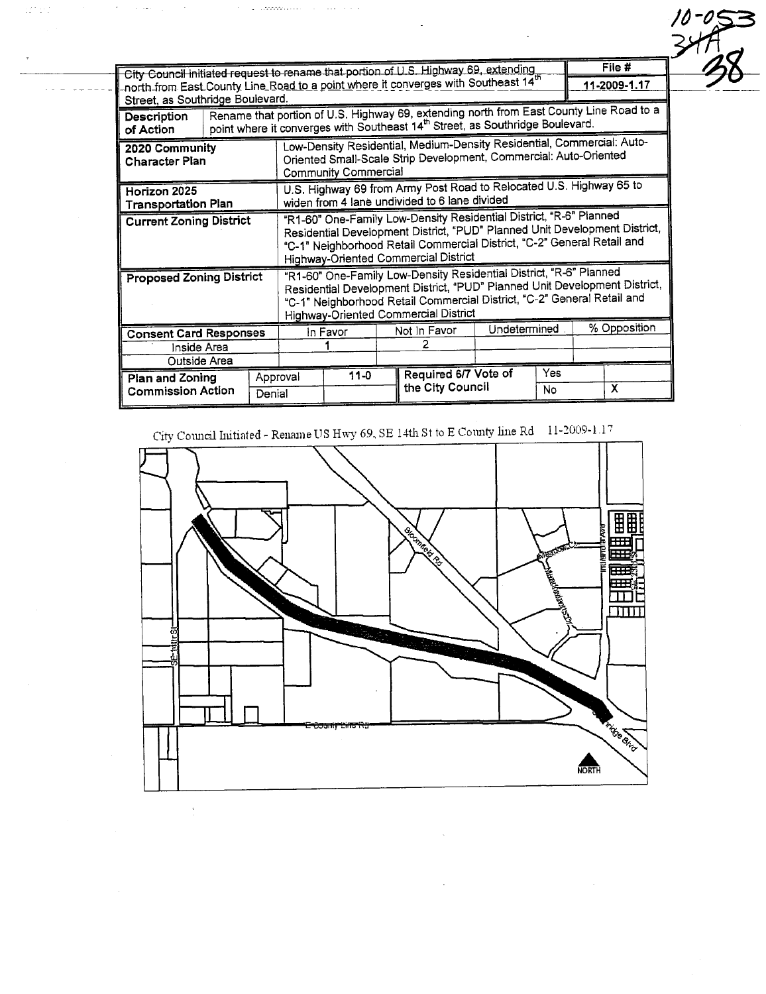| Street, as Southridge Boulevard.           |                                                                                                                                                                                      |                                                                                                                                                                            |                                                                                                                                                                                                                                                                            |  |              | City Council initiated request to rename that portion of U.S. Highway 69, extending<br>north from East County Line Road to a point where it converges with Southeast 14 <sup>th</sup> |              |     |              | File #<br>11-2009-1.17 |
|--------------------------------------------|--------------------------------------------------------------------------------------------------------------------------------------------------------------------------------------|----------------------------------------------------------------------------------------------------------------------------------------------------------------------------|----------------------------------------------------------------------------------------------------------------------------------------------------------------------------------------------------------------------------------------------------------------------------|--|--------------|---------------------------------------------------------------------------------------------------------------------------------------------------------------------------------------|--------------|-----|--------------|------------------------|
| Description<br>of Action                   | Rename that portion of U.S. Highway 69, extending north from East County Line Road to a<br>point where it converges with Southeast 14 <sup>th</sup> Street, as Southridge Boulevard. |                                                                                                                                                                            |                                                                                                                                                                                                                                                                            |  |              |                                                                                                                                                                                       |              |     |              |                        |
| 2020 Community<br><b>Character Plan</b>    |                                                                                                                                                                                      | Low-Density Residential, Medium-Density Residential, Commercial: Auto-<br>Oriented Small-Scale Strip Development, Commercial: Auto-Oriented<br><b>Community Commercial</b> |                                                                                                                                                                                                                                                                            |  |              |                                                                                                                                                                                       |              |     |              |                        |
| Horizon 2025<br><b>Transportation Plan</b> |                                                                                                                                                                                      |                                                                                                                                                                            | U.S. Highway 69 from Army Post Road to Relocated U.S. Highway 65 to<br>widen from 4 lane undivided to 6 lane divided                                                                                                                                                       |  |              |                                                                                                                                                                                       |              |     |              |                        |
| <b>Current Zoning District</b>             |                                                                                                                                                                                      |                                                                                                                                                                            | "R1-60" One-Family Low-Density Residential District, "R-6" Planned<br>Residential Development District, "PUD" Planned Unit Development District,<br>"C-1" Neighborhood Retail Commercial District, "C-2" General Retail and<br><b>Highway-Oriented Commercial District</b> |  |              |                                                                                                                                                                                       |              |     |              |                        |
| <b>Proposed Zoning District</b>            |                                                                                                                                                                                      |                                                                                                                                                                            | "R1-60" One-Family Low-Density Residential District, "R-6" Planned<br>Residential Development District, "PUD" Planned Unit Development District,<br>"C-1" Neighborhood Retail Commercial District, "C-2" General Retail and<br>Highway-Oriented Commercial District        |  |              |                                                                                                                                                                                       |              |     |              |                        |
| <b>Consent Card Responses</b>              |                                                                                                                                                                                      |                                                                                                                                                                            | In Favor                                                                                                                                                                                                                                                                   |  | Not In Favor |                                                                                                                                                                                       | Undetermined |     | % Opposition |                        |
| Inside Area<br>Outside Area                |                                                                                                                                                                                      |                                                                                                                                                                            |                                                                                                                                                                                                                                                                            |  | 2            |                                                                                                                                                                                       |              |     |              |                        |
|                                            | Plan and Zoning<br><b>Commission Action</b><br>Denial                                                                                                                                |                                                                                                                                                                            | $11-0$<br>Approval                                                                                                                                                                                                                                                         |  |              | Required 6/7 Vote of<br>the City Council<br>No                                                                                                                                        |              | Yes |              | x                      |

 $-053$ 

 $\hat{\sigma}$  , as a consequence of the set of  $\hat{\sigma}$ 

 $\sigma_{\rm{eff}}$  , and  $\sigma_{\rm{eff}}$  , and  $\sigma_{\rm{eff}}$ 

 $\frac{1}{2}$ 

 $\Omega^2$  2.2.

 $\cdots$  . . . . .

City Council Initiated - Rename US Hwy 69, SE 14th St to E County line Rd 11-2009-1.17



 $\hat{\mathcal{S}}$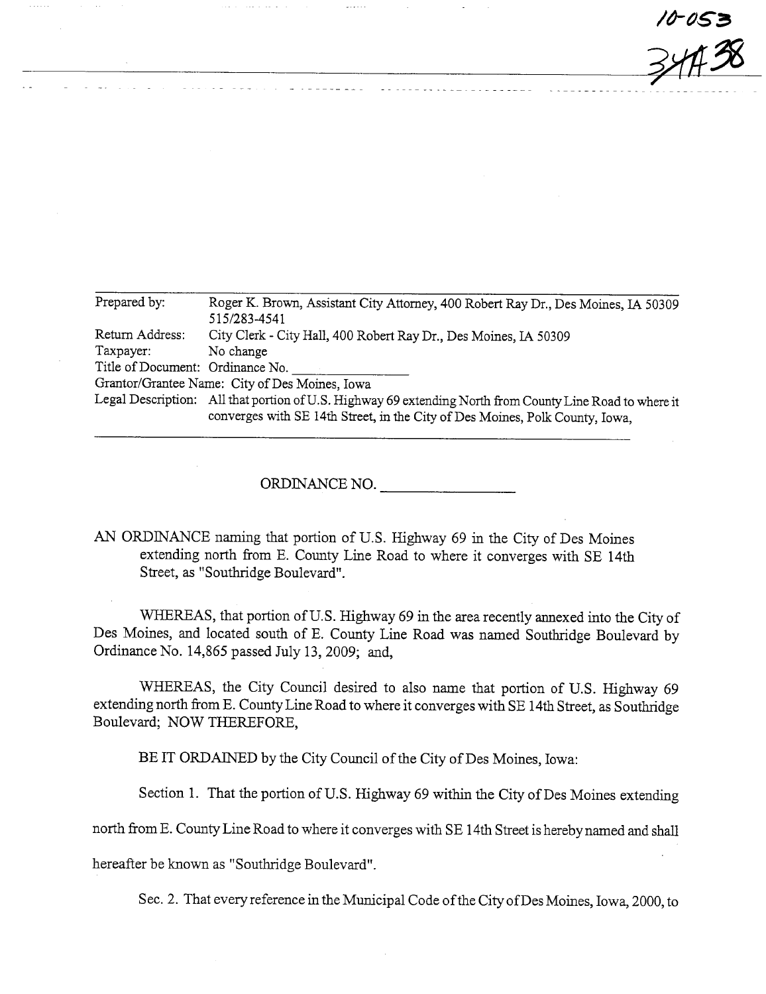$10 - 053$  $\frac{3}{4}$ 

| Prepared by:                     | Roger K. Brown, Assistant City Attorney, 400 Robert Ray Dr., Des Moines, IA 50309                        |  |  |  |  |  |
|----------------------------------|----------------------------------------------------------------------------------------------------------|--|--|--|--|--|
|                                  | 515/283-4541                                                                                             |  |  |  |  |  |
| Return Address:                  | City Clerk - City Hall, 400 Robert Ray Dr., Des Moines, IA 50309                                         |  |  |  |  |  |
| Taxpayer:                        | No change                                                                                                |  |  |  |  |  |
| Title of Document: Ordinance No. |                                                                                                          |  |  |  |  |  |
|                                  | Grantor/Grantee Name: City of Des Moines, Iowa                                                           |  |  |  |  |  |
|                                  | Legal Description: All that portion of U.S. Highway 69 extending North from County Line Road to where it |  |  |  |  |  |
|                                  | converges with SE 14th Street, in the City of Des Moines, Polk County, Iowa,                             |  |  |  |  |  |

ORDINANCE NO.

AN ORDINANCE naming that portion of U.S. Highway 69 in the City of Des Moines extending north from E. County Line Road to where it converges with SE 14th Street, as "Southridge Boulevard".

WHEREAS, that portion of U.S. Highway 69 in the area recently annexed into the City of Des Moines, and located south of E. County Line Road was named Southrdge Boulevard by Ordinance No. 14,865 passed July 13, 2009; and,

WHEREAS, the City Council desired to also name that portion of U.S. Highway 69 extending north from E. County Line Road to where it converges with SE 14th Street, as Southridge Boulevard; NOW THEREFORE,

BE IT ORDAINED by the City Council of the City of Des Moines, Iowa:

Section 1. That the portion of U.S. Highway 69 within the City of Des Moines extending

north from E. County Line Road to where it converges with SE 14th Street is hereby named and shal

hereafter be known as "Southridge Boulevard".

Sec. 2. That every reference in the Municipal Code of the City of Des Moines, Iowa, 2000, to